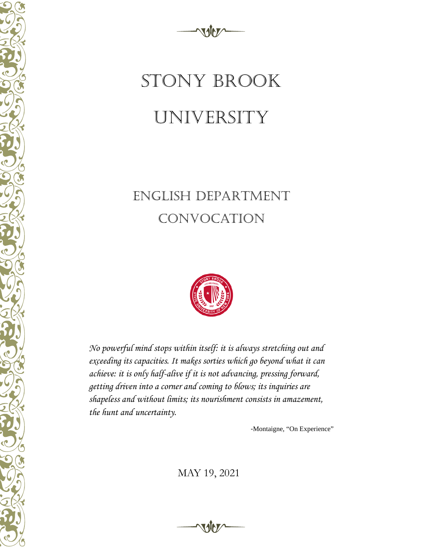

# STONY BROOK UNIVERSITY

### ENGLISH DEPARTMENT convocation



*No powerful mind stops within itself: it is always stretching out and exceeding its capacities. It makes sorties which go beyond what it can achieve: it is only half-alive if it is not advancing, pressing forward, getting driven into a corner and coming to blows; its inquiries are shapeless and without limits; its nourishment consists in amazement, the hunt and uncertainty.*

-Montaigne, "On Experience"

MAY 19, 2021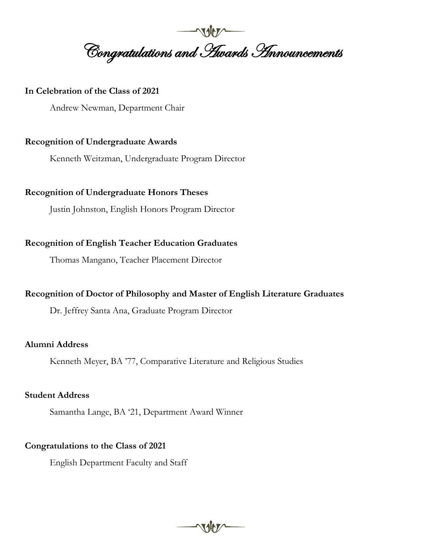**Congratulations and Hwards Announcements** 

#### **In Celebration of the Class of 2021**

Andrew Newman, Department Chair

#### **Recognition of Undergraduate Awards**

Kenneth Weitzman, Undergraduate Program Director

#### **Recognition of Undergraduate Honors Theses**

Justin Johnston, English Honors Program Director

#### **Recognition of English Teacher Education Graduates**

Thomas Mangano, Teacher Placement Director

#### **Recognition of Doctor of Philosophy and Master of English Literature Graduates**

Dr. Jeffrey Santa Ana, Graduate Program Director

#### **Alumni Address**

Kenneth Meyer, BA '77, Comparative Literature and Religious Studies

 $MVI$ 

#### **Student Address**

Samantha Lange, BA '21, Department Award Winner

#### **Congratulations to the Class of 2021**

English Department Faculty and Staff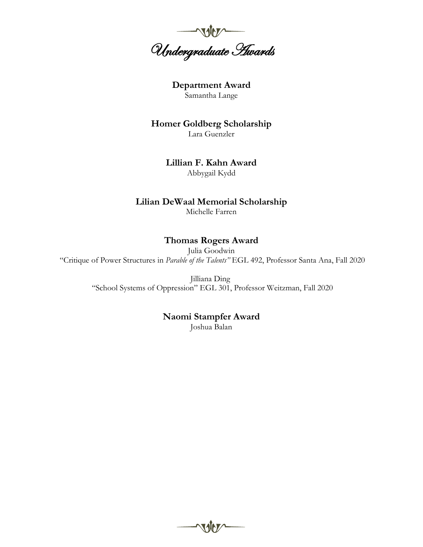

**Department Award** Samantha Lange

**Homer Goldberg Scholarship** Lara Guenzler

> **Lillian F. Kahn Award** Abbygail Kydd

#### **Lilian DeWaal Memorial Scholarship**

Michelle Farren

#### **Thomas Rogers Award**

Julia Goodwin "Critique of Power Structures in *Parable of the Talents"* EGL 492, Professor Santa Ana, Fall 2020

> Jilliana Ding "School Systems of Oppression" EGL 301, Professor Weitzman, Fall 2020

#### **Naomi Stampfer Award**

Joshua Balan

 $\gamma$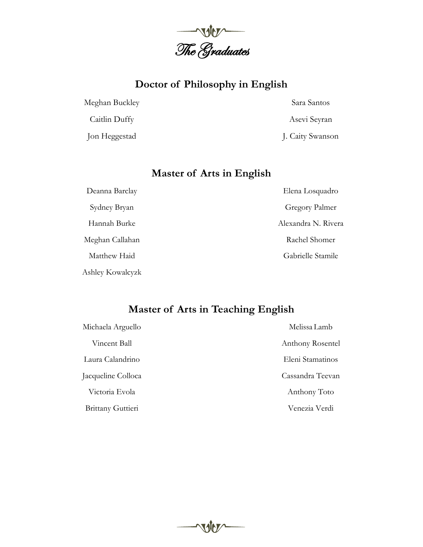

#### **Doctor of Philosophy in English**

Meghan Buckley

Caitlin Duffy

Jon Heggestad

Sara Santos

Asevi Seyran

J. Caity Swanson

#### **Master of Arts in English**

Deanna Barclay Sydney Bryan Hannah Burke Meghan Callahan Matthew Haid Ashley Kowalcyzk Elena Losquadro Gregory Palmer Alexandra N. Rivera Rachel Shomer Gabrielle Stamile

#### **Master of Arts in Teaching English**

| Michaela Arguello        | Melissa Lamb     |
|--------------------------|------------------|
| Vincent Ball             | Anthony Rosentel |
| Laura Calandrino         | Eleni Stamatinos |
| Jacqueline Colloca       | Cassandra Teevan |
| Victoria Evola           | Anthony Toto     |
| <b>Brittany Guttieri</b> | Venezia Verdi    |

voter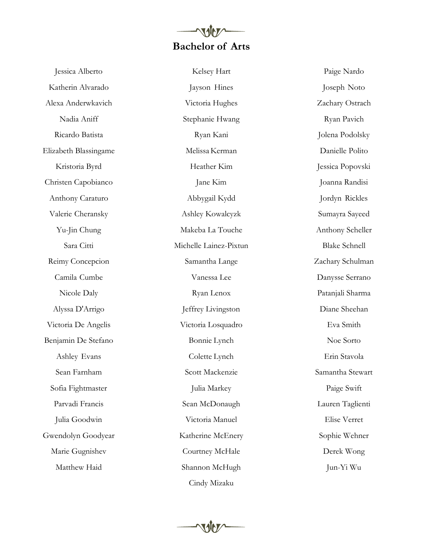## **Bachelor of Arts**

Jessica Alberto Katherin Alvarado Alexa Anderwkavich Nadia Aniff Ricardo Batista Elizabeth Blassingame Kristoria Byrd Christen Capobianco Anthony Caraturo Valerie Cheransky Yu-Jin Chung Sara Citti Reimy Concepcion Camila Cumbe Nicole Daly Alyssa D'Arrigo Victoria De Angelis Benjamin De Stefano Ashley Evans Sean Farnham Sofia Fightmaster Parvadi Francis Julia Goodwin Gwendolyn Goodyear Marie Gugnishev Matthew Haid

Kelsey Hart Jayson Hines Victoria Hughes Stephanie Hwang Ryan Kani Melissa Kerman Heather Kim Jane Kim Abbygail Kydd Ashley Kowalcyzk Makeba La Touche Michelle Lainez-Pixtun Samantha Lange Vanessa Lee Ryan Lenox Jeffrey Livingston Victoria Losquadro Bonnie Lynch Colette Lynch Scott Mackenzie Julia Markey Sean McDonaugh Victoria Manuel Katherine McEnery Courtney McHale Shannon McHugh Cindy Mizaku

Paige Nardo Joseph Noto Zachary Ostrach Ryan Pavich Jolena Podolsky Danielle Polito Jessica Popovski Joanna Randisi Jordyn Rickles Sumayra Sayeed Anthony Scheller Blake Schnell Zachary Schulman Danysse Serrano Patanjali Sharma Diane Sheehan Eva Smith Noe Sorto Erin Stavola Samantha Stewart Paige Swift Lauren Taglienti Elise Verret Sophie Wehner Derek Wong Jun-Yi Wu

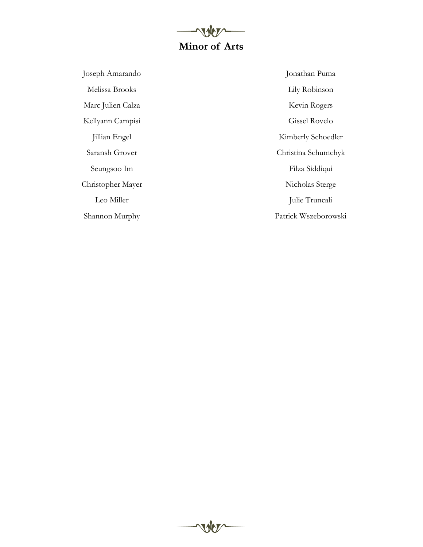## **Minor of Arts**

voter

Joseph Amarando Melissa Brooks Marc Julien Calza Kellyann Campisi Jillian Engel Saransh Grover Seungsoo Im Christopher Mayer Leo Miller Shannon Murphy

Jonathan Puma Lily Robinson Kevin Rogers Gissel Rovelo Kimberly Schoedler Christina Schumchyk Filza Siddiqui Nicholas Sterge Julie Truncali Patrick Wszeborowski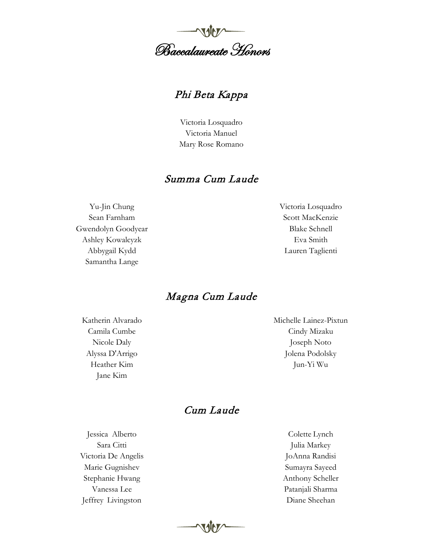

#### Phi Beta Kappa

Victoria Losquadro Victoria Manuel Mary Rose Romano

#### Summa Cum Laude

Yu-Jin Chung Sean Farnham Gwendolyn Goodyear Ashley Kowalcyzk Abbygail Kydd Samantha Lange

Victoria Losquadro Scott MacKenzie Blake Schnell Eva Smith Lauren Taglienti

#### Magna Cum Laude

Katherin Alvarado Camila Cumbe Nicole Daly Alyssa D'Arrigo Heather Kim Jane Kim

Michelle Lainez-Pixtun Cindy Mizaku Joseph Noto Jolena Podolsky Jun-Yi Wu

#### Cum Laude

Jessica Alberto Sara Citti Victoria De Angelis Marie Gugnishev Stephanie Hwang Vanessa Lee Jeffrey Livingston

Colette Lynch Julia Markey JoAnna Randisi Sumayra Sayeed Anthony Scheller Patanjali Sharma Diane Sheehan

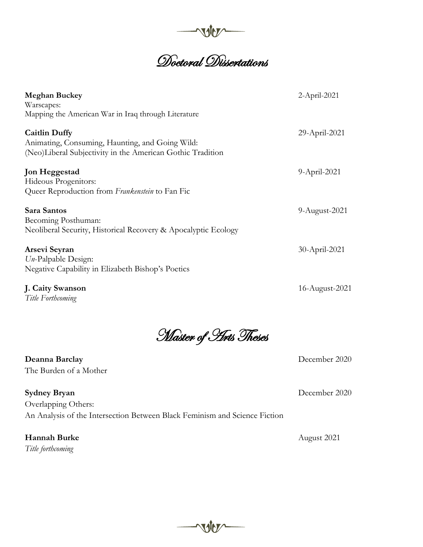

# and University<br>1988<br>1989 Dissertations

| <b>Meghan Buckey</b><br>Warscapes:<br>Mapping the American War in Iraq through Literature                                             | $2$ -April-2021 |
|---------------------------------------------------------------------------------------------------------------------------------------|-----------------|
| <b>Caitlin Duffy</b><br>Animating, Consuming, Haunting, and Going Wild:<br>(Neo)Liberal Subjectivity in the American Gothic Tradition | 29-April-2021   |
| <b>Jon Heggestad</b><br>Hideous Progenitors:<br>Queer Reproduction from Frankenstein to Fan Fic                                       | 9-April-2021    |
| Sara Santos<br>Becoming Posthuman:<br>Neoliberal Security, Historical Recovery & Apocalyptic Ecology                                  | 9-August-2021   |
| Arsevi Seyran<br>$U_{n}$ -Palpable Design:<br>Negative Capability in Elizabeth Bishop's Poetics                                       | 30-April-2021   |
| J. Caity Swanson                                                                                                                      | 16-August-2021  |

*Title Forthcoming*

Master of Arts Theses

**Deanna Barclay** December 2020 The Burden of a Mother

**Sydney Bryan** December 2020 Overlapping Others: An Analysis of the Intersection Between Black Feminism and Science Fiction

**Hannah Burke** August 2021 *Title forthcoming*

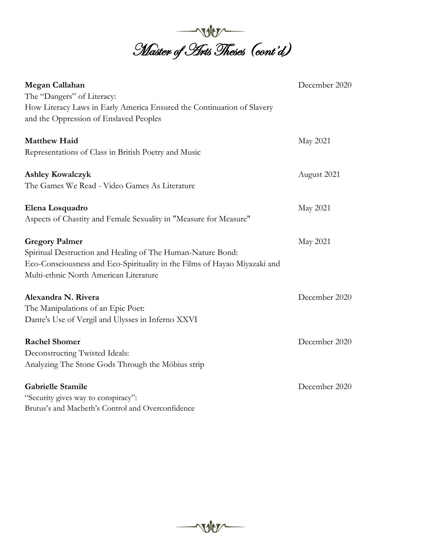

| Megan Callahan                                                            | December 2020 |
|---------------------------------------------------------------------------|---------------|
| The "Dangers" of Literacy:                                                |               |
| How Literacy Laws in Early America Ensured the Continuation of Slavery    |               |
| and the Oppression of Enslaved Peoples                                    |               |
| <b>Matthew Haid</b>                                                       | May 2021      |
| Representations of Class in British Poetry and Music                      |               |
| <b>Ashley Kowalczyk</b>                                                   | August 2021   |
| The Games We Read - Video Games As Literature                             |               |
| Elena Losquadro                                                           | May 2021      |
| Aspects of Chastity and Female Sexuality in "Measure for Measure"         |               |
| <b>Gregory Palmer</b>                                                     | May 2021      |
| Spiritual Destruction and Healing of The Human-Nature Bond:               |               |
| Eco-Consciousness and Eco-Spirituality in the Films of Hayao Miyazaki and |               |
| Multi-ethnic North American Literature                                    |               |
| Alexandra N. Rivera                                                       | December 2020 |
| The Manipulations of an Epic Poet:                                        |               |
| Dante's Use of Vergil and Ulysses in Inferno XXVI                         |               |
| <b>Rachel Shomer</b>                                                      | December 2020 |
| Deconstructing Twisted Ideals:                                            |               |
| Analyzing The Stone Gods Through the Möbius strip                         |               |
| <b>Gabrielle Stamile</b>                                                  | December 2020 |
| "Security gives way to conspiracy":                                       |               |
| Brutus's and Macbeth's Control and Overconfidence                         |               |

**NOW**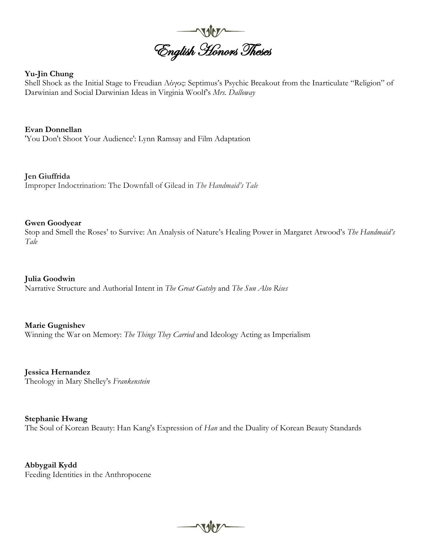

#### **Yu-Jin Chung**

Shell Shock as the Initial Stage to Freudian Λόγος: Septimus's Psychic Breakout from the Inarticulate "Religion" of Darwinian and Social Darwinian Ideas in Virginia Woolf's *Mrs. Dalloway*

**Evan Donnellan** 'You Don't Shoot Your Audience': Lynn Ramsay and Film Adaptation

**Jen Giuffrida** Improper Indoctrination: The Downfall of Gilead in *The Handmaid's Tale*

#### **Gwen Goodyear**

Stop and Smell the Roses' to Survive: An Analysis of Nature's Healing Power in Margaret Atwood's *The Handmaid's Tale*

**Julia Goodwin**

Narrative Structure and Authorial Intent in *The Great Gatsby* and *The Sun Also Rises*

**Marie Gugnishev** Winning the War on Memory: *The Things They Carried* and Ideology Acting as Imperialism

**Jessica Hernandez** Theology in Mary Shelley's *Frankenstein*

**Stephanie Hwang** The Soul of Korean Beauty: Han Kang's Expression of *Han* and the Duality of Korean Beauty Standards

 $\sqrt{10}$ 

**Abbygail Kydd** Feeding Identities in the Anthropocene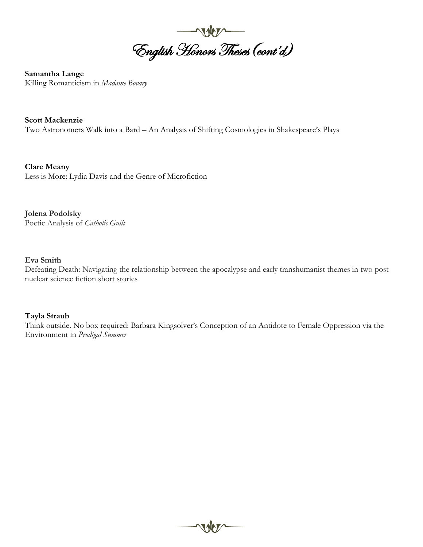

**Samantha Lange** Killing Romanticism in *Madame Bovary*

**Scott Mackenzie** Two Astronomers Walk into a Bard – An Analysis of Shifting Cosmologies in Shakespeare's Plays

**Clare Meany** Less is More: Lydia Davis and the Genre of Microfiction

**Jolena Podolsky**  Poetic Analysis of *Catholic Guilt*

#### **Eva Smith**

Defeating Death: Navigating the relationship between the apocalypse and early transhumanist themes in two post nuclear science fiction short stories

#### **Tayla Straub**

Think outside. No box required: Barbara Kingsolver's Conception of an Antidote to Female Oppression via the Environment in *Prodigal Summer*

voter